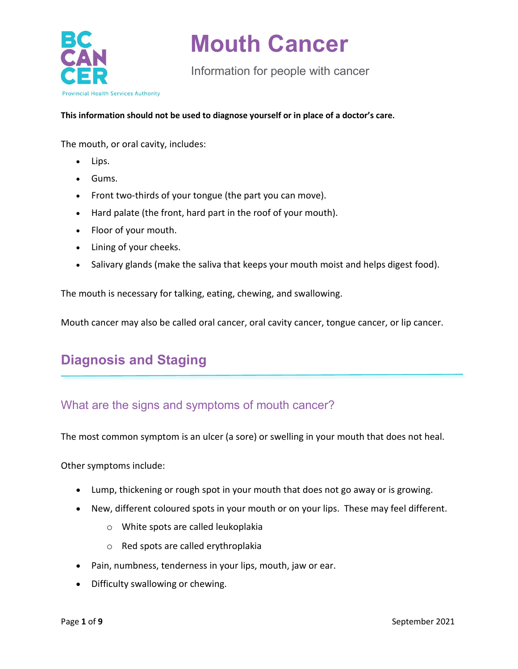

Information for people with cancer

**This information should not be used to diagnose yourself or in place of a doctor's care.** 

The mouth, or oral cavity, includes:

- Lips.
- Gums.
- Front two-thirds of your tongue (the part you can move).
- Hard palate (the front, hard part in the roof of your mouth).
- Floor of your mouth.
- Lining of your cheeks.
- Salivary glands (make the saliva that keeps your mouth moist and helps digest food).

The mouth is necessary for talking, eating, chewing, and swallowing.

Mouth cancer may also be called oral cancer, oral cavity cancer, tongue cancer, or lip cancer.

## **Diagnosis and Staging**

#### What are the signs and symptoms of mouth cancer?

The most common symptom is an ulcer (a sore) or swelling in your mouth that does not heal.

Other symptoms include:

- Lump, thickening or rough spot in your mouth that does not go away or is growing.
- New, different coloured spots in your mouth or on your lips. These may feel different.
	- o White spots are called leukoplakia
	- o Red spots are called erythroplakia
- Pain, numbness, tenderness in your lips, mouth, jaw or ear.
- Difficulty swallowing or chewing.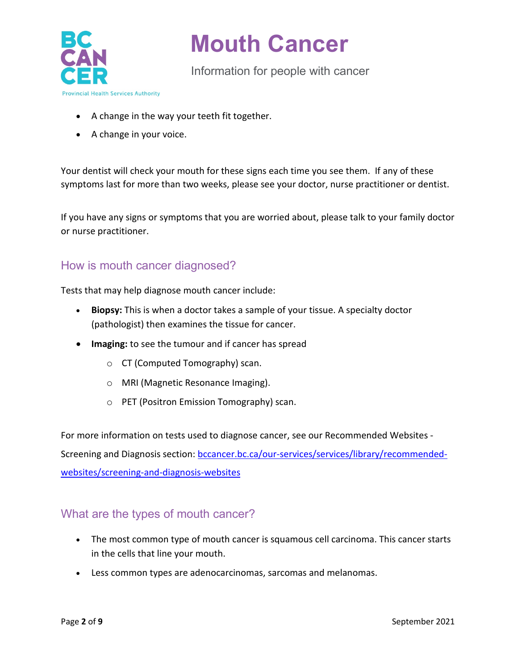

Information for people with cancer

- A change in the way your teeth fit together.
- A change in your voice.

Your dentist will check your mouth for these signs each time you see them. If any of these symptoms last for more than two weeks, please see your doctor, nurse practitioner or dentist.

If you have any signs or symptoms that you are worried about, please talk to your family doctor or nurse practitioner.

### How is mouth cancer diagnosed?

Tests that may help diagnose mouth cancer include:

- **Biopsy:** This is when a doctor takes a sample of your tissue. A specialty doctor (pathologist) then examines the tissue for cancer.
- **Imaging:** to see the tumour and if cancer has spread
	- o CT (Computed Tomography) scan.
	- o MRI (Magnetic Resonance Imaging).
	- o PET (Positron Emission Tomography) scan.

For more information on tests used to diagnose cancer, see our Recommended Websites -

Screening and Diagnosis section: [bccancer.bc.ca/our-services/services/library/recommended](http://www.bccancer.bc.ca/our-services/services/library/recommended-websites/screening-and-diagnosis-websites)[websites/screening-and-diagnosis-websites](http://www.bccancer.bc.ca/our-services/services/library/recommended-websites/screening-and-diagnosis-websites)

### What are the types of mouth cancer?

- The most common type of mouth cancer is squamous cell carcinoma. This cancer starts in the cells that line your mouth.
- Less common types are adenocarcinomas, sarcomas and melanomas.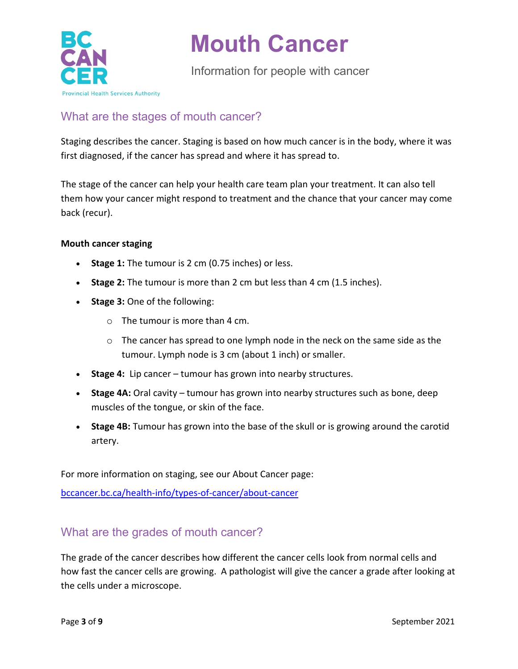

Information for people with cancer

## What are the stages of mouth cancer?

Staging describes the cancer. Staging is based on how much cancer is in the body, where it was first diagnosed, if the cancer has spread and where it has spread to.

The stage of the cancer can help your health care team plan your treatment. It can also tell them how your cancer might respond to treatment and the chance that your cancer may come back (recur).

#### **Mouth cancer staging**

- **Stage 1:** The tumour is 2 cm (0.75 inches) or less.
- **Stage 2:** The tumour is more than 2 cm but less than 4 cm (1.5 inches).
- **Stage 3:** One of the following:
	- $\circ$  The tumour is more than 4 cm.
	- $\circ$  The cancer has spread to one lymph node in the neck on the same side as the tumour. Lymph node is 3 cm (about 1 inch) or smaller.
- **Stage 4:** Lip cancer tumour has grown into nearby structures.
- **Stage 4A:** Oral cavity tumour has grown into nearby structures such as bone, deep muscles of the tongue, or skin of the face.
- **Stage 4B:** Tumour has grown into the base of the skull or is growing around the carotid artery.

For more information on staging, see our About Cancer page:

[bccancer.bc.ca/health-info/types-of-cancer/about-cancer](http://www.bccancer.bc.ca/health-info/types-of-cancer/about-cancer)

#### What are the grades of mouth cancer?

The grade of the cancer describes how different the cancer cells look from normal cells and how fast the cancer cells are growing. A pathologist will give the cancer a grade after looking at the cells under a microscope.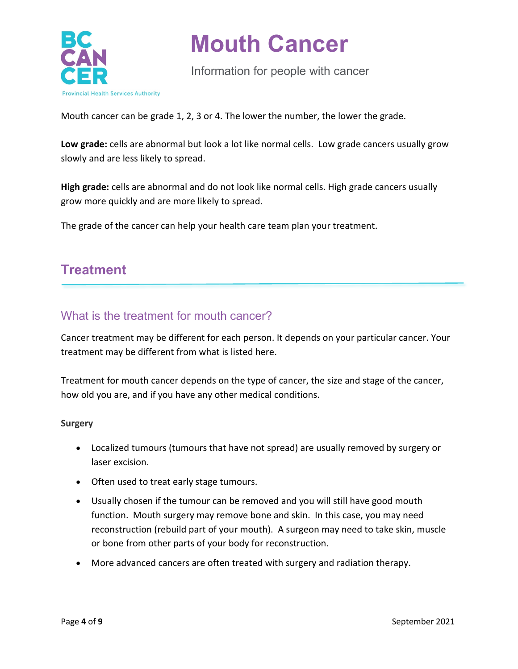

Information for people with cancer

Mouth cancer can be grade 1, 2, 3 or 4. The lower the number, the lower the grade.

**Low grade:** cells are abnormal but look a lot like normal cells. Low grade cancers usually grow slowly and are less likely to spread.

**High grade:** cells are abnormal and do not look like normal cells. High grade cancers usually grow more quickly and are more likely to spread.

The grade of the cancer can help your health care team plan your treatment.

## **Treatment**

#### What is the treatment for mouth cancer?

Cancer treatment may be different for each person. It depends on your particular cancer. Your treatment may be different from what is listed here.

Treatment for mouth cancer depends on the type of cancer, the size and stage of the cancer, how old you are, and if you have any other medical conditions.

#### **Surgery**

- Localized tumours (tumours that have not spread) are usually removed by surgery or laser excision.
- Often used to treat early stage tumours.
- Usually chosen if the tumour can be removed and you will still have good mouth function. Mouth surgery may remove bone and skin. In this case, you may need reconstruction (rebuild part of your mouth). A surgeon may need to take skin, muscle or bone from other parts of your body for reconstruction.
- More advanced cancers are often treated with surgery and radiation therapy.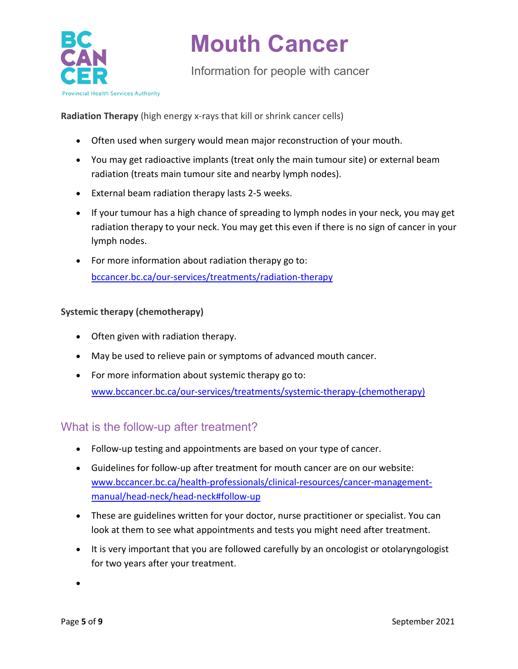

Information for people with cancer

**Radiation Therapy** (high energy x-rays that kill or shrink cancer cells)

- Often used when surgery would mean major reconstruction of your mouth.
- You may get radioactive implants (treat only the main tumour site) or external beam radiation (treats main tumour site and nearby lymph nodes).
- External beam radiation therapy lasts 2-5 weeks.
- If your tumour has a high chance of spreading to lymph nodes in your neck, you may get radiation therapy to your neck. You may get this even if there is no sign of cancer in your lymph nodes.
- For more information about radiation therapy go to: [bccancer.bc.ca/our-services/treatments/radiation-therapy](http://www.bccancer.bc.ca/our-services/treatments/radiation-therapy)

#### **Systemic therapy (chemotherapy)**

- Often given with radiation therapy.
- May be used to relieve pain or symptoms of advanced mouth cancer.
- For more information about systemic therapy go to: [www.bccancer.bc.ca/our-services/treatments/systemic-therapy-\(chemotherapy\)](http://www.bccancer.bc.ca/our-services/treatments/systemic-therapy-(chemotherapy))

### What is the follow-up after treatment?

- Follow-up testing and appointments are based on your type of cancer.
- Guidelines for follow-up after treatment for mouth cancer are on our website: [www.bccancer.bc.ca/health-professionals/clinical-resources/cancer-management](http://www.bccancer.bc.ca/health-professionals/clinical-resources/cancer-management-manual/head-neck/head-neck#follow-up)[manual/head-neck/head-neck#follow-up](http://www.bccancer.bc.ca/health-professionals/clinical-resources/cancer-management-manual/head-neck/head-neck#follow-up)
- These are guidelines written for your doctor, nurse practitioner or specialist. You can look at them to see what appointments and tests you might need after treatment.
- It is very important that you are followed carefully by an oncologist or otolaryngologist for two years after your treatment.

•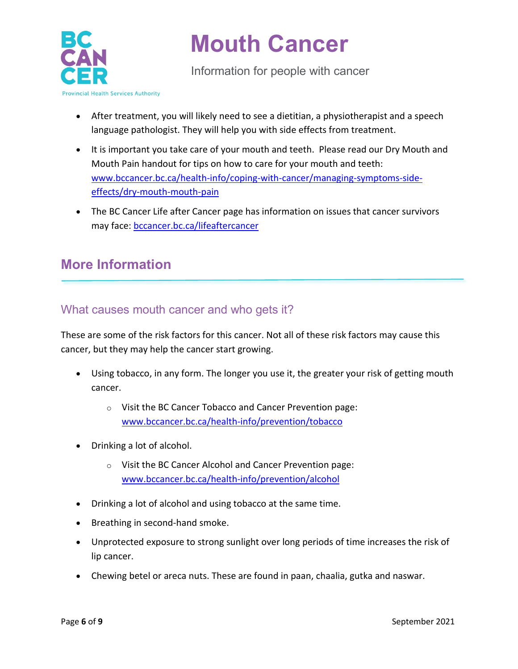

Information for people with cancer

- After treatment, you will likely need to see a dietitian, a physiotherapist and a speech language pathologist. They will help you with side effects from treatment.
- It is important you take care of your mouth and teeth. Please read our Dry Mouth and Mouth Pain handout for tips on how to care for your mouth and teeth: [www.bccancer.bc.ca/health-info/coping-with-cancer/managing-symptoms-side](http://www.bccancer.bc.ca/health-info/coping-with-cancer/managing-symptoms-side-effects/dry-mouth-mouth-pain)[effects/dry-mouth-mouth-pain](http://www.bccancer.bc.ca/health-info/coping-with-cancer/managing-symptoms-side-effects/dry-mouth-mouth-pain)
- The BC Cancer Life after Cancer page has information on issues that cancer survivors may face: [bccancer.bc.ca/lifeaftercancer](http://www.bccancer.bc.ca/lifeaftercancer)

## **More Information**

### What causes mouth cancer and who gets it?

These are some of the risk factors for this cancer. Not all of these risk factors may cause this cancer, but they may help the cancer start growing.

- Using tobacco, in any form. The longer you use it, the greater your risk of getting mouth cancer.
	- o Visit the BC Cancer Tobacco and Cancer Prevention page: [www.bccancer.bc.ca/health-info/prevention/tobacco](http://www.bccancer.bc.ca/health-info/prevention/tobacco)
- Drinking a lot of alcohol.
	- o Visit the BC Cancer Alcohol and Cancer Prevention page: [www.bccancer.bc.ca/health-info/prevention/alcohol](http://www.bccancer.bc.ca/health-info/prevention/alcohol)
- Drinking a lot of alcohol and using tobacco at the same time.
- Breathing in second-hand smoke.
- Unprotected exposure to strong sunlight over long periods of time increases the risk of lip cancer.
- Chewing betel or areca nuts. These are found in paan, chaalia, gutka and naswar.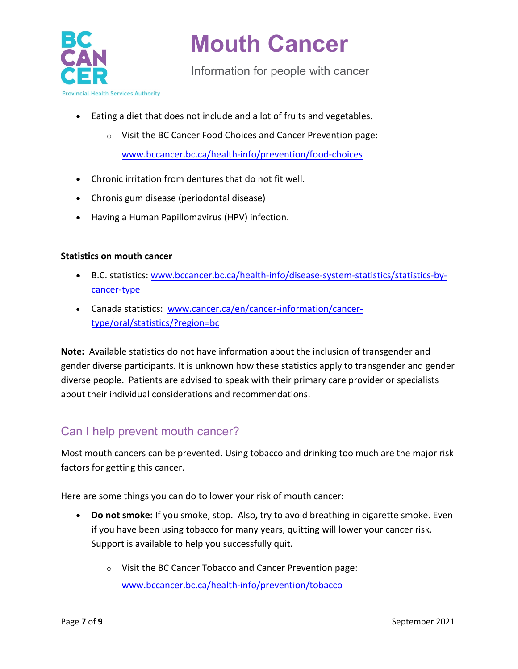

Information for people with cancer

- Eating a diet that does not include and a lot of fruits and vegetables.
	- o Visit the BC Cancer Food Choices and Cancer Prevention page: [www.bccancer.bc.ca/health-info/prevention/food-choices](http://www.bccancer.bc.ca/health-info/prevention/food-choices)
- Chronic irritation from dentures that do not fit well.
- Chronis gum disease (periodontal disease)
- Having a Human Papillomavirus (HPV) infection.

#### **Statistics on mouth cancer**

- B.C. statistics: [www.bccancer.bc.ca/health-info/disease-system-statistics/statistics-by](http://www.bccancer.bc.ca/health-info/disease-system-statistics/statistics-by-cancer-type)[cancer-type](http://www.bccancer.bc.ca/health-info/disease-system-statistics/statistics-by-cancer-type)
- Canada statistics: [www.cancer.ca/en/cancer-information/cancer](https://www.cancer.ca/en/cancer-information/cancer-type/oral/statistics/?region=bc)[type/oral/statistics/?region=bc](https://www.cancer.ca/en/cancer-information/cancer-type/oral/statistics/?region=bc)

**Note:** Available statistics do not have information about the inclusion of transgender and gender diverse participants. It is unknown how these statistics apply to transgender and gender diverse people. Patients are advised to speak with their primary care provider or specialists about their individual considerations and recommendations.

## Can I help prevent mouth cancer?

Most mouth cancers can be prevented. Using tobacco and drinking too much are the major risk factors for getting this cancer.

Here are some things you can do to lower your risk of mouth cancer:

- **Do not smoke:** If you smoke, stop. Also**,** try to avoid breathing in cigarette smoke. Even if you have been using tobacco for many years, quitting will lower your cancer risk. Support is available to help you successfully quit.
	- o Visit the BC Cancer Tobacco and Cancer Prevention page: [www.bccancer.bc.ca/health-info/prevention/tobacco](http://www.bccancer.bc.ca/health-info/prevention/tobacco)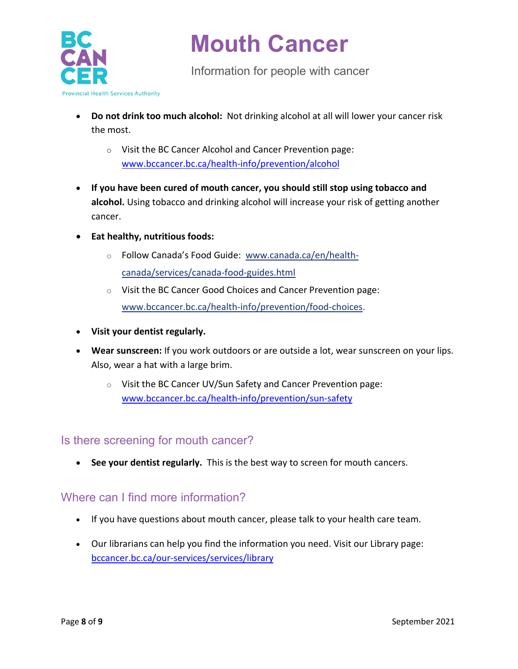

Information for people with cancer

- **Do not drink too much alcohol:** Not drinking alcohol at all will lower your cancer risk the most.
	- o Visit the BC Cancer Alcohol and Cancer Prevention page: [www.bccancer.bc.ca/health-info/prevention/alcohol](http://www.bccancer.bc.ca/health-info/prevention/alcohol)
- **If you have been cured of mouth cancer, you should still stop using tobacco and alcohol.** Using tobacco and drinking alcohol will increase your risk of getting another cancer.
- **Eat healthy, nutritious foods:**
	- o Follow Canada's Food Guide: [www.canada.ca/en/health](https://www.canada.ca/en/health-canada/services/canada-food-guides.html)[canada/services/canada-food-guides.html](https://www.canada.ca/en/health-canada/services/canada-food-guides.html)
	- o Visit the BC Cancer Good Choices and Cancer Prevention page: [www.bccancer.bc.ca/health-info/prevention/food-choices.](http://www.bccancer.bc.ca/health-info/prevention/food-choices)
- **Visit your dentist regularly.**
- **Wear sunscreen:** If you work outdoors or are outside a lot, wear sunscreen on your lips. Also, wear a hat with a large brim.
	- o Visit the BC Cancer UV/Sun Safety and Cancer Prevention page: [www.bccancer.bc.ca/health-info/prevention/sun-safety](http://www.bccancer.bc.ca/health-info/prevention/sun-safety)

#### Is there screening for mouth cancer?

• **See your dentist regularly.** This is the best way to screen for mouth cancers.

### Where can I find more information?

- If you have questions about mouth cancer, please talk to your health care team.
- Our librarians can help you find the information you need. Visit our Library page: [bccancer.bc.ca/our-services/services/library](http://www.bccancer.bc.ca/our-services/services/library)